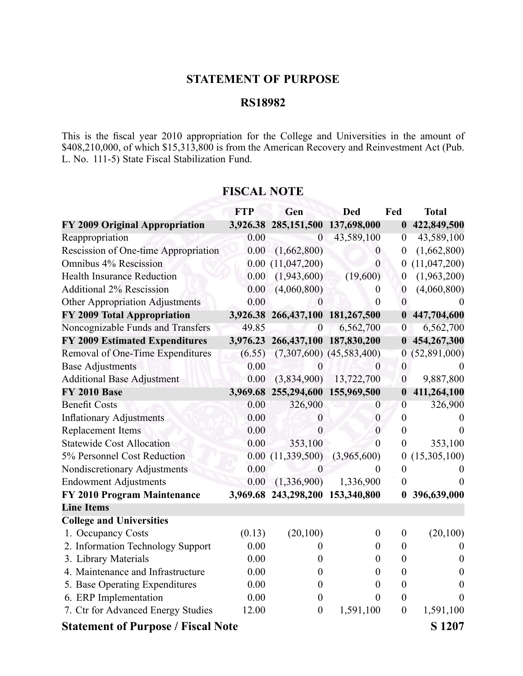## **STATEMENT OF PURPOSE**

## **RS18982**

This is the fiscal year 2010 appropriation for the College and Universities in the amount of \$408,210,000, of which \$15,313,800 is from the American Recovery and Reinvestment Act (Pub. L. No. 111-5) State Fiscal Stabilization Fund.

|                                           | <b>FTP</b> | Gen                              | <b>Ded</b>                   | Fed              | <b>Total</b>     |
|-------------------------------------------|------------|----------------------------------|------------------------------|------------------|------------------|
| FY 2009 Original Appropriation            | 3,926.38   | 285,151,500                      | 137,698,000                  | $\boldsymbol{0}$ | 422,849,500      |
| Reappropriation                           | 0.00       | $\overline{0}$                   | 43,589,100                   | $\overline{0}$   | 43,589,100       |
| Rescission of One-time Appropriation      | 0.00       | (1,662,800)                      | $\boldsymbol{0}$             | $\boldsymbol{0}$ | (1,662,800)      |
| Omnibus 4% Rescission                     | 0.00       | (11,047,200)                     | $\overline{0}$               | $\boldsymbol{0}$ | (11, 047, 200)   |
| <b>Health Insurance Reduction</b>         | 0.00       | (1,943,600)                      | (19,600)                     | $\boldsymbol{0}$ | (1,963,200)      |
| <b>Additional 2% Rescission</b>           | 0.00       | (4,060,800)                      | $\boldsymbol{0}$             | $\boldsymbol{0}$ | (4,060,800)      |
| Other Appropriation Adjustments           | 0.00       | $\boldsymbol{0}$                 | $\overline{0}$               | $\mathbf{0}$     |                  |
| FY 2009 Total Appropriation               | 3,926.38   | 266,437,100                      | 181,267,500                  | $\boldsymbol{0}$ | 447,704,600      |
| Noncognizable Funds and Transfers         | 49.85      | $\boldsymbol{0}$                 | 6,562,700                    | $\boldsymbol{0}$ | 6,562,700        |
| <b>FY 2009 Estimated Expenditures</b>     | 3,976.23   |                                  | 266,437,100 187,830,200      | $\boldsymbol{0}$ | 454,267,300      |
| Removal of One-Time Expenditures          | (6.55)     |                                  | $(7,307,600)$ $(45,583,400)$ | 0                | (52,891,000)     |
| <b>Base Adjustments</b>                   | 0.00       | 0                                | $\mathbf{0}$                 | $\boldsymbol{0}$ |                  |
| <b>Additional Base Adjustment</b>         | 0.00       | (3,834,900)                      | 13,722,700                   | $\boldsymbol{0}$ | 9,887,800        |
| <b>FY 2010 Base</b>                       | 3,969.68   |                                  | 255,294,600 155,969,500      | $\boldsymbol{0}$ | 411,264,100      |
| <b>Benefit Costs</b>                      | 0.00       | 326,900                          | $\boldsymbol{0}$             | $\overline{0}$   | 326,900          |
| <b>Inflationary Adjustments</b>           | 0.00       | $\theta$                         | $\boldsymbol{0}$             | $\overline{0}$   | $\theta$         |
| Replacement Items                         | 0.00       | $\overline{0}$                   | $\mathbf{0}$                 | $\boldsymbol{0}$ | $\theta$         |
| <b>Statewide Cost Allocation</b>          | 0.00       | 353,100                          | $\overline{0}$               | $\boldsymbol{0}$ | 353,100          |
| 5% Personnel Cost Reduction               | 0.00       | (11, 339, 500)                   | (3,965,600)                  | $\boldsymbol{0}$ | (15,305,100)     |
| Nondiscretionary Adjustments              | 0.00       | 0                                | $\theta$                     | $\boldsymbol{0}$ | $\theta$         |
| <b>Endowment Adjustments</b>              | 0.00       | (1,336,900)                      | 1,336,900                    | $\boldsymbol{0}$ | $\Omega$         |
| FY 2010 Program Maintenance               |            | 3,969.68 243,298,200 153,340,800 |                              | $\bf{0}$         | 396,639,000      |
| <b>Line Items</b>                         |            |                                  |                              |                  |                  |
| <b>College and Universities</b>           |            |                                  |                              |                  |                  |
| 1. Occupancy Costs                        | (0.13)     | (20,100)                         | $\boldsymbol{0}$             | $\boldsymbol{0}$ | (20,100)         |
| 2. Information Technology Support         | 0.00       | $\theta$                         | $\boldsymbol{0}$             | $\boldsymbol{0}$ | $\theta$         |
| 3. Library Materials                      | 0.00       | $\boldsymbol{0}$                 | $\boldsymbol{0}$             | $\boldsymbol{0}$ | $\boldsymbol{0}$ |
| 4. Maintenance and Infrastructure         | 0.00       | $\boldsymbol{0}$                 | $\boldsymbol{0}$             | $\boldsymbol{0}$ | $\theta$         |
| 5. Base Operating Expenditures            | 0.00       | $\boldsymbol{0}$                 | $\overline{0}$               | $\boldsymbol{0}$ | $\overline{0}$   |
| 6. ERP Implementation                     | 0.00       | $\boldsymbol{0}$                 | $\theta$                     | $\boldsymbol{0}$ | $\theta$         |
| 7. Ctr for Advanced Energy Studies        | 12.00      | $\boldsymbol{0}$                 | 1,591,100                    | $\boldsymbol{0}$ | 1,591,100        |
| <b>Statement of Purpose / Fiscal Note</b> |            |                                  | S 1207                       |                  |                  |

## **FISCAL NOTE**